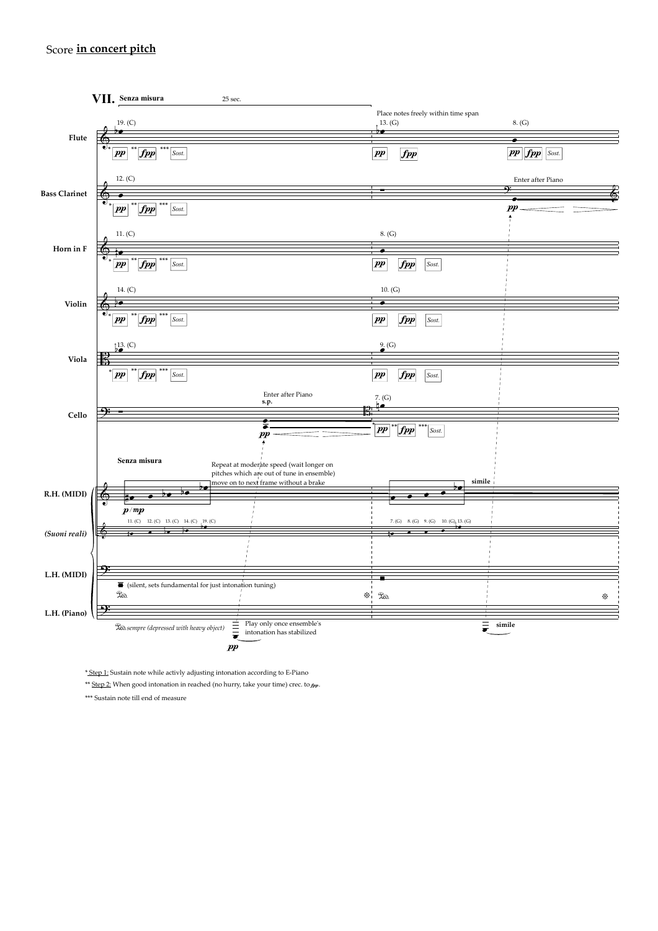## Score **in concert pitch**



\* Step 1: Sustain note while activly adjusting intonation according to E-Piano

\*\* Step 2: When good intonation in reached (no hurry, take your time) crec. to  $_{\text{fpp}}$ .

\*\*\* Sustain note till end of measure